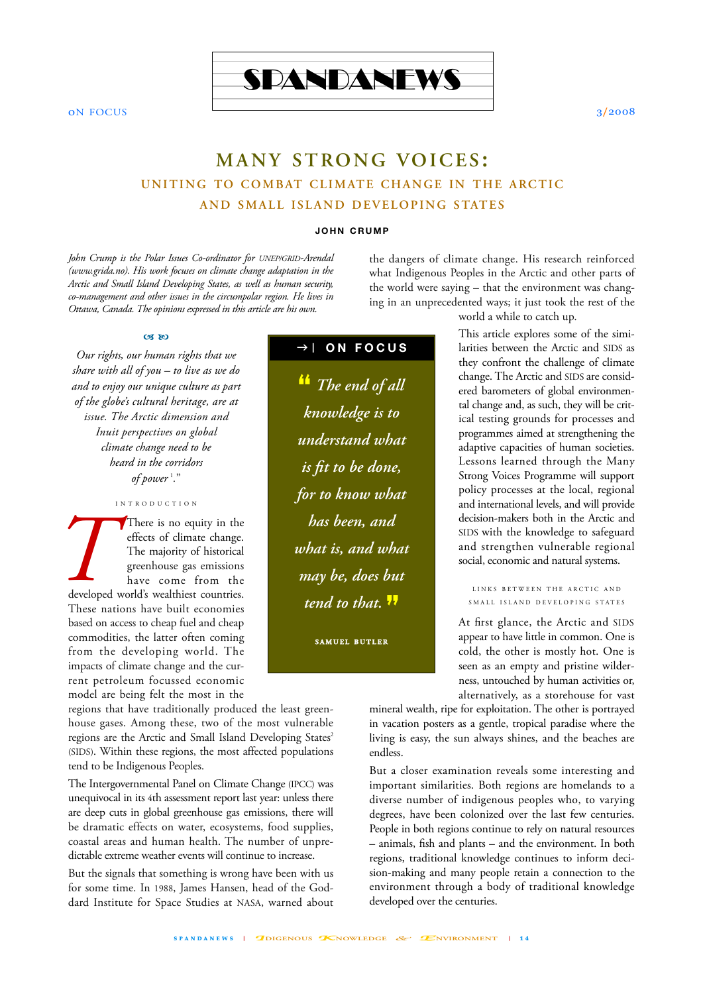

on Focus 3/2008

# **MANY STRONG VOICES : UNITING TO COMBAT CLIMATE CHANGE IN THE ARCTIC AND SMALL ISLAND DEVELOPING STATES**

#### **JOHN CRUMP**

*John Crump is the Polar Issues Co-ordinator for UNEP/GRID-Arendal (www.grida.no). His work focuses on climate change adaptation in the Arctic and Small Island Developing States, as well as human security, co-management and other issues in the circumpolar region. He lives in Ottawa, Canada. The opinions expressed in this article are his own.*

### $\alpha$  bo

*Our rights, our human rights that we share with all of you – to live as we do and to enjoy our unique culture as part of the globe's cultural heritage, are at issue. The Arctic dimension and Inuit perspectives on global climate change need to be heard in the corridors of power* <sup>1</sup> *.*"

INTR ODUCTION

There is no equity in the effects of climate change. The majority of historical greenhouse gas emissions have come from the developed world's wealthiest countries. These nations have built economies based on access to cheap fuel and cheap commodities, the latter often coming from the developing world. The impacts of climate change and the current petroleum focussed economic model are being felt the most in the **T**<br>developed

regions that have traditionally produced the least greenhouse gases. Among these, two of the most vulnerable regions are the Arctic and Small Island Developing States<sup>2</sup> (SIDS). Within these regions, the most affected populations tend to be Indigenous Peoples.

The Intergovernmental Panel on Climate Change (IPCC) was unequivocal in its 4th assessment report last year: unless there are deep cuts in global greenhouse gas emissions, there will be dramatic effects on water, ecosystems, food supplies, coastal areas and human health. The number of unpredictable extreme weather events will continue to increase.

But the signals that something is wrong have been with us for some time. In 1988, James Hansen, head of the Goddard Institute for Space Studies at NASA, warned about

## $\rightarrow$  | ON FOCUS

**"** *The end of all knowledge is to understand what is fit to be done, for to know what has been, and what is, and what may be, does but tend to that.*  **"**

**S A M U E L B U T L E R**

world a while to catch up.

the dangers of climate change. His research reinforced what Indigenous Peoples in the Arctic and other parts of the world were saying – that the environment was changing in an unprecedented ways; it just took the rest of the

> This article explores some of the similarities between the Arctic and SIDS as they confront the challenge of climate change. The Arctic and SIDS are considered barometers of global environmental change and, as such, they will be critical testing grounds for processes and programmes aimed at strengthening the adaptive capacities of human societies. Lessons learned through the Many Strong Voices Programme will support policy processes at the local, regional and international levels, and will provide decision-makers both in the Arctic and SIDS with the knowledge to safeguard and strengthen vulnerable regional social, economic and natural systems.

LINKS BETWEEN THE ARCTIC AND SMALL ISLAND DEVELOPING STATES

At first glance, the Arctic and SIDS appear to have little in common. One is cold, the other is mostly hot. One is seen as an empty and pristine wilderness, untouched by human activities or, alternatively, as a storehouse for vast

mineral wealth, ripe for exploitation. The other is portrayed in vacation posters as a gentle, tropical paradise where the living is easy, the sun always shines, and the beaches are endless.

But a closer examination reveals some interesting and important similarities. Both regions are homelands to a diverse number of indigenous peoples who, to varying degrees, have been colonized over the last few centuries. People in both regions continue to rely on natural resources – animals, fish and plants – and the environment. In both regions, traditional knowledge continues to inform decision-making and many people retain a connection to the environment through a body of traditional knowledge developed over the centuries.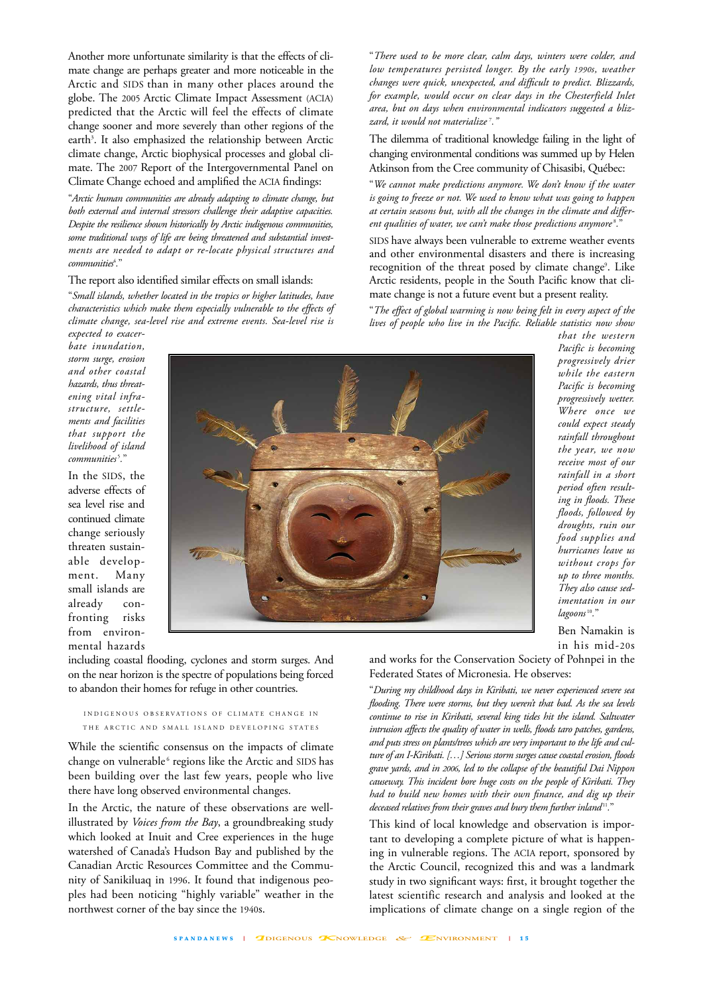Another more unfortunate similarity is that the effects of climate change are perhaps greater and more noticeable in the Arctic and SIDS than in many other places around the globe. The 2005 Arctic Climate Impact Assessment (ACIA) predicted that the Arctic will feel the effects of climate change sooner and more severely than other regions of the earth<sup>3</sup>. It also emphasized the relationship between Arctic climate change, Arctic biophysical processes and global climate. The 2007 Report of the Intergovernmental Panel on Climate Change echoed and amplified the ACIA findings:

"*Arctic human communities are already adapting to climate change, but both external and internal stressors challenge their adaptive capacities. Despite the resilience shown historically by Arctic indigenous communities, some traditional ways of life are being threatened and substantial investments are needed to adapt or re-locate physical structures and communities*<sup>4</sup> *.*"

### The report also identified similar effects on small islands:

"*Small islands, whether located in the tropics or higher latitudes, have characteristics which make them especially vulnerable to the effects of climate change, sea-level rise and extreme events. Sea-level rise is*

"*There used to be more clear, calm days, winters were colder, and low temperatures persisted longer. By the early 1990s, weather changes were quick, unexpected, and difficult to predict. Blizzards, for example, would occur on clear days in the Chesterfield Inlet area, but on days when environmental indicators suggested a blizzard, it would not materialize* <sup>7</sup> *."*

The dilemma of traditional knowledge failing in the light of changing environmental conditions was summed up by Helen Atkinson from the Cree community of Chisasibi, Québec:

"*We cannot make predictions anymore. We don't know if the water is going to freeze or not. We used to know what was going to happen at certain seasons but, with all the changes in the climate and different qualities of water, we can't make those predictions anymore* <sup>8</sup> *.*"

SIDS have always been vulnerable to extreme weather events and other environmental disasters and there is increasing recognition of the threat posed by climate change<sup>9</sup>. Like Arctic residents, people in the South Pacific know that climate change is not a future event but a present reality.

"*The effect of global warming is now being felt in every aspect of the lives of people who live in the Pacific. Reliable statistics now show*

*expected to exacerbate inundation, storm surge, erosion and other coastal hazards, thus threatening vital infrastructure, settlements and facilities that support the livelihood of island communities* <sup>5</sup> *.*"

In the SIDS, the adverse effects of sea level rise and continued climate change seriously threaten sustainable development. Many small islands are already confronting risks from environmental hazards



*that the western Pacific is becoming progressively drier while the eastern Pacific is becoming progressively wetter. Where once we could expect steady rainfall throughout the year, we now receive most of our rainfall in a short period often resulting in floods. These floods, followed by droughts, ruin our food supplies and hurricanes leave us without crops for up to three months. They also cause sedimentation in our lagoons* <sup>10</sup> *.*"

Ben Namakin is in his mid-20s

including coastal flooding, cyclones and storm surges. And on the near horizon is the spectre of populations being forced to abandon their homes for refuge in other countries.

### INDIGENOUS OBSERVATIONS OF CLIMATE CHANGE IN THE ARCTIC AND SMALL ISLAND DEVELOPING STATES

While the scientific consensus on the impacts of climate change on vulnerable<sup>6</sup> regions like the Arctic and SIDS has been building over the last few years, people who live there have long observed environmental changes.

In the Arctic, the nature of these observations are wellillustrated by *Voices from the Bay*, a groundbreaking study which looked at Inuit and Cree experiences in the huge watershed of Canada's Hudson Bay and published by the Canadian Arctic Resources Committee and the Community of Sanikiluaq in 1996. It found that indigenous peoples had been noticing "highly variable" weather in the northwest corner of the bay since the 1940s.

and works for the Conservation Society of Pohnpei in the Federated States of Micronesia. He observes:

"*During my childhood days in Kiribati, we never experienced severe sea flooding. There were storms, but they weren't that bad. As the sea levels continue to rise in Kiribati, several king tides hit the island. Saltwater intrusion affects the quality of water in wells, floods taro patches, gardens, and puts stress on plants/trees which are very important to the life and culture of an I-Kiribati. […] Serious storm surges cause coastal erosion, floods grave yards, and in 2006, led to the collapse of the beautiful Dai Nippon causeway. This incident bore huge costs on the people of Kiribati. They had to build new homes with their own finance, and dig up their deceased relatives from their graves and bury them further inland*<sup>11</sup>."

This kind of local knowledge and observation is important to developing a complete picture of what is happening in vulnerable regions. The ACIA report, sponsored by the Arctic Council, recognized this and was a landmark study in two significant ways: first, it brought together the latest scientific research and analysis and looked at the implications of climate change on a single region of the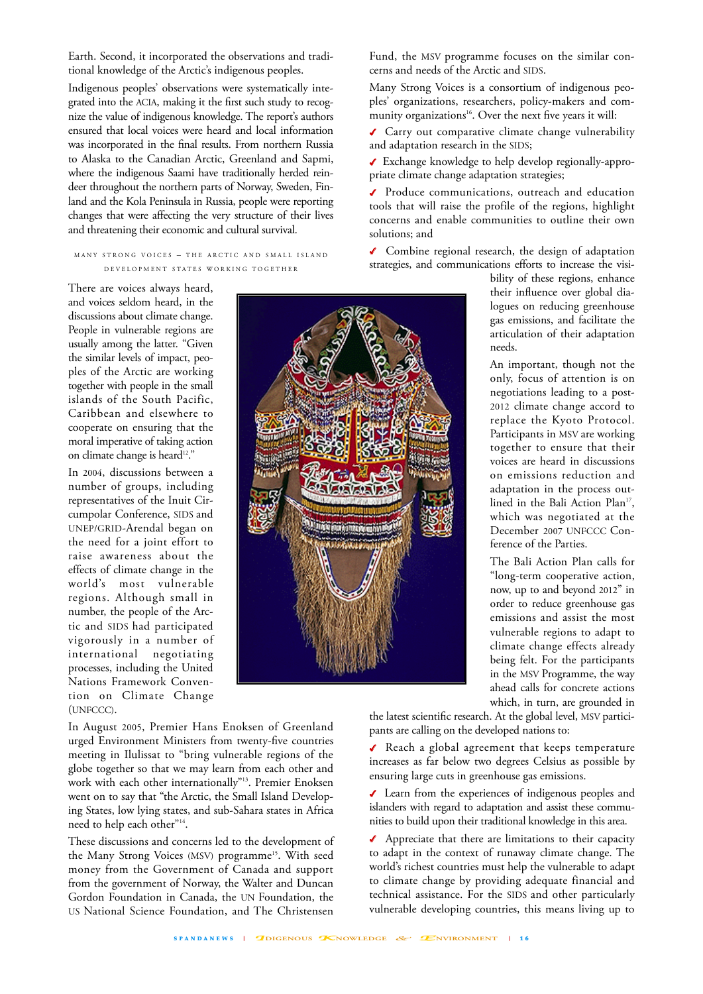Earth. Second, it incorporated the observations and traditional knowledge of the Arctic's indigenous peoples.

Indigenous peoples' observations were systematically integrated into the ACIA, making it the first such study to recognize the value of indigenous knowledge. The report's authors ensured that local voices were heard and local information was incorporated in the final results. From northern Russia to Alaska to the Canadian Arctic, Greenland and Sapmi, where the indigenous Saami have traditionally herded reindeer throughout the northern parts of Norway, Sweden, Finland and the Kola Peninsula in Russia, people were reporting changes that were affecting the very structure of their lives and threatening their economic and cultural survival.

MANY STRONG VOICES – THE ARCTIC AND SMALL ISLAND D EVELOPMENT STATES WORKING TOGETHER

There are voices always heard, and voices seldom heard, in the discussions about climate change. People in vulnerable regions are usually among the latter. "Given the similar levels of impact, peoples of the Arctic are working together with people in the small islands of the South Pacific, Caribbean and elsewhere to cooperate on ensuring that the moral imperative of taking action on climate change is heard<sup>12</sup>."

In 2004, discussions between a number of groups, including representatives of the Inuit Circumpolar Conference, SIDS and UNEP/GRID-Arendal began on the need for a joint effort to raise awareness about the effects of climate change in the world's most vulnerable regions. Although small in number, the people of the Arctic and SIDS had participated vigorously in a number of international negotiating processes, including the United Nations Framework Convention on Climate Change (UNFCCC).

In August 2005, Premier Hans Enoksen of Greenland urged Environment Ministers from twenty-five countries meeting in Ilulissat to "bring vulnerable regions of the globe together so that we may learn from each other and work with each other internationally"13. Premier Enoksen went on to say that "the Arctic, the Small Island Developing States, low lying states, and sub-Sahara states in Africa need to help each other"14.

These discussions and concerns led to the development of the Many Strong Voices (MSV) programme<sup>15</sup>. With seed money from the Government of Canada and support from the government of Norway, the Walter and Duncan Gordon Foundation in Canada, the UN Foundation, the US National Science Foundation, and The Christensen

Fund, the MSV programme focuses on the similar concerns and needs of the Arctic and SIDS.

Many Strong Voices is a consortium of indigenous peoples' organizations, researchers, policy-makers and community organizations<sup>16</sup>. Over the next five years it will:

✔ Carry out comparative climate change vulnerability and adaptation research in the SIDS;

✔ Exchange knowledge to help develop regionally-appropriate climate change adaptation strategies;

✔ Produce communications, outreach and education tools that will raise the profile of the regions, highlight concerns and enable communities to outline their own solutions; and

✔ Combine regional research, the design of adaptation strategies, and communications efforts to increase the visi-

bility of these regions, enhance their influence over global dialogues on reducing greenhouse gas emissions, and facilitate the articulation of their adaptation needs.

An important, though not the only, focus of attention is on negotiations leading to a post-2012 climate change accord to replace the Kyoto Protocol. Participants in MSV are working together to ensure that their voices are heard in discussions on emissions reduction and adaptation in the process outlined in the Bali Action Plan<sup>17</sup>, which was negotiated at the December 2007 UNFCCC Conference of the Parties.

The Bali Action Plan calls for "long-term cooperative action, now, up to and beyond 2012" in order to reduce greenhouse gas emissions and assist the most vulnerable regions to adapt to climate change effects already being felt. For the participants in the MSV Programme, the way ahead calls for concrete actions which, in turn, are grounded in

the latest scientific research. At the global level, MSV participants are calling on the developed nations to:

✔ Reach a global agreement that keeps temperature increases as far below two degrees Celsius as possible by ensuring large cuts in greenhouse gas emissions.

✔ Learn from the experiences of indigenous peoples and islanders with regard to adaptation and assist these communities to build upon their traditional knowledge in this area.

✔ Appreciate that there are limitations to their capacity to adapt in the context of runaway climate change. The world's richest countries must help the vulnerable to adapt to climate change by providing adequate financial and technical assistance. For the SIDS and other particularly vulnerable developing countries, this means living up to